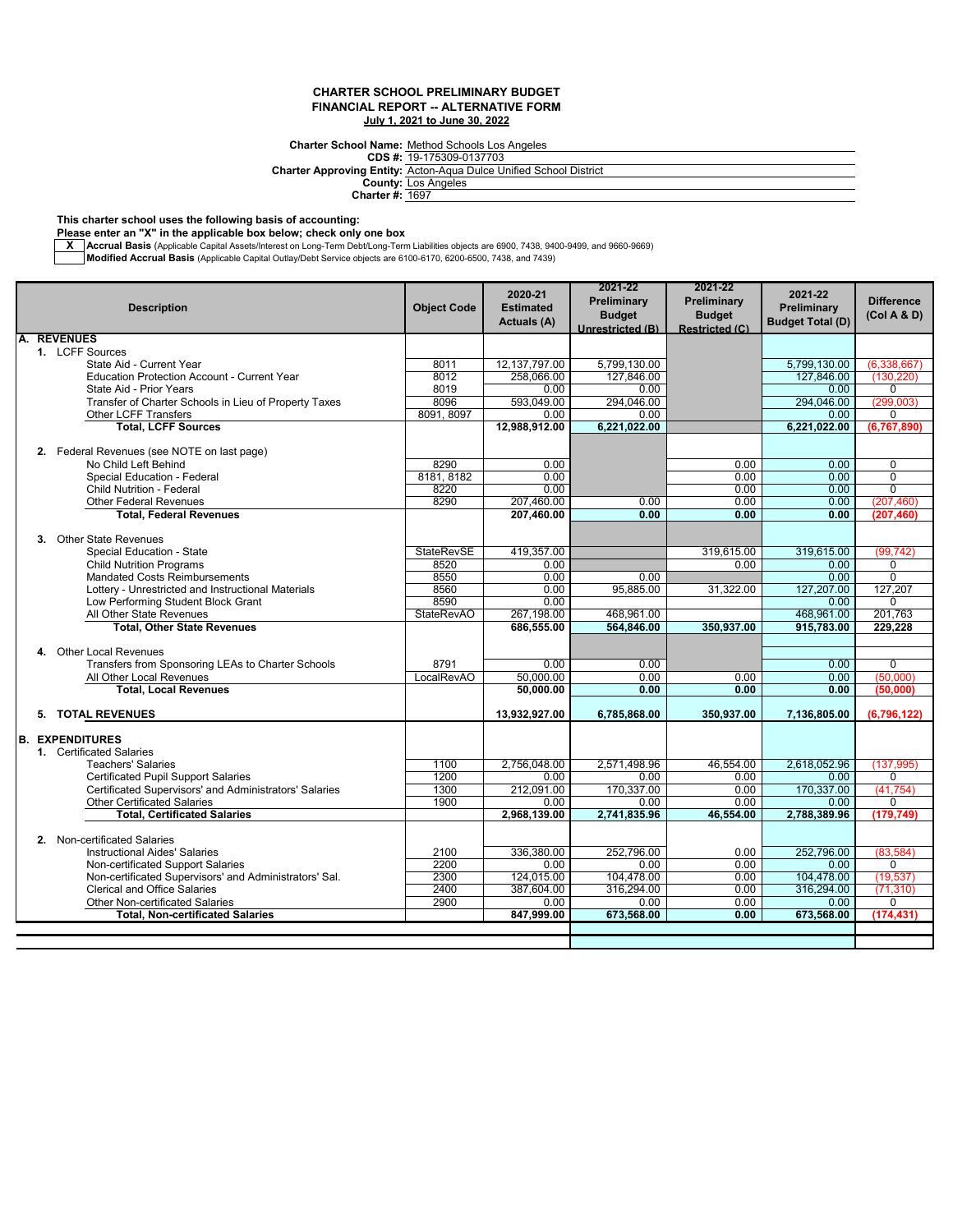## **CHARTER SCHOOL PRELIMINARY BUDGET FINANCIAL REPORT -- ALTERNATIVE FORM July 1, 2021 to June 30, 2022**

**Charter School Name:** Method Schools Los Angeles

|               | <b>Charter School Name:</b> Method Schools Los Angeles                    |
|---------------|---------------------------------------------------------------------------|
|               | CDS #: 19-175309-0137703                                                  |
|               | <b>Charter Approving Entity: Acton-Aqua Dulce Unified School District</b> |
|               | <b>County: Los Angeles</b>                                                |
| $AL = 4.4007$ |                                                                           |

**Charter #:** 1697

**This charter school uses the following basis of accounting:**

**Please enter an "X" in the applicable box below; check only one box**

<mark>X \_ |</mark>Accrual Basis (Applicable Capital Assets/Interest on Long-Term Debt/Long-Term Liabilities objects are 6900, 7438, 9400-9499, and 9660-9669)<br>■ **Modified Accrual Basis** (Applicable Capital Outlay/Debt Service object

|    | <b>Description</b>                                                  | <b>Object Code</b> | 2020-21<br><b>Estimated</b><br>Actuals (A) | 2021-22<br>Preliminary<br><b>Budget</b><br>Unrestricted (B) | 2021-22<br>Preliminary<br><b>Budget</b><br><b>Restricted (C)</b> | 2021-22<br>Preliminary<br><b>Budget Total (D)</b> | <b>Difference</b><br>(Col A & D) |
|----|---------------------------------------------------------------------|--------------------|--------------------------------------------|-------------------------------------------------------------|------------------------------------------------------------------|---------------------------------------------------|----------------------------------|
| A. | <b>REVENUES</b>                                                     |                    |                                            |                                                             |                                                                  |                                                   |                                  |
|    | 1. LCFF Sources                                                     |                    |                                            |                                                             |                                                                  |                                                   |                                  |
|    | State Aid - Current Year                                            | 8011               | 12, 137, 797.00                            | 5,799,130.00                                                |                                                                  | 5,799,130.00                                      | (6,338,667)                      |
|    | Education Protection Account - Current Year                         | 8012               | 258.066.00                                 | 127.846.00                                                  |                                                                  | 127.846.00                                        | (130.220)                        |
|    | State Aid - Prior Years                                             | 8019               | 0.00                                       | 0.00                                                        |                                                                  | 0.00                                              | $\Omega$                         |
|    | Transfer of Charter Schools in Lieu of Property Taxes               | 8096               | 593.049.00                                 | 294.046.00                                                  |                                                                  | 294.046.00                                        | (299.003)                        |
|    | Other LCFF Transfers                                                | 8091, 8097         | 0.00                                       | 0.00                                                        |                                                                  | 0.00                                              | $\Omega$                         |
|    | <b>Total, LCFF Sources</b>                                          |                    | 12,988,912.00                              | 6,221,022.00                                                |                                                                  | 6,221,022.00                                      | (6,767,890)                      |
|    |                                                                     |                    |                                            |                                                             |                                                                  |                                                   |                                  |
|    | 2. Federal Revenues (see NOTE on last page)<br>No Child Left Behind | 8290               | 0.00                                       |                                                             | 0.00                                                             | 0.00                                              | $\mathbf 0$                      |
|    | Special Education - Federal                                         | 8181, 8182         | 0.00                                       |                                                             | 0.00                                                             | 0.00                                              | $\Omega$                         |
|    | Child Nutrition - Federal                                           | 8220               | 0.00                                       |                                                             | 0.00                                                             | 0.00                                              | 0                                |
|    | Other Federal Revenues                                              | 8290               | 207,460.00                                 | 0.00                                                        | 0.00                                                             | 0.00                                              | (207, 460)                       |
|    | <b>Total, Federal Revenues</b>                                      |                    | 207,460.00                                 | 0.00                                                        | 0.00                                                             | 0.00                                              | (207.460)                        |
|    |                                                                     |                    |                                            |                                                             |                                                                  |                                                   |                                  |
|    | 3. Other State Revenues                                             |                    |                                            |                                                             |                                                                  |                                                   |                                  |
|    | Special Education - State                                           | <b>StateRevSE</b>  | 419,357.00                                 |                                                             | 319,615.00                                                       | 319,615.00                                        | (99, 742)                        |
|    | <b>Child Nutrition Programs</b>                                     | 8520               | 0.00                                       |                                                             | 0.00                                                             | 0.00                                              | 0                                |
|    | <b>Mandated Costs Reimbursements</b>                                | 8550               | 0.00                                       | 0.00                                                        |                                                                  | 0.00                                              | $\Omega$                         |
|    | Lottery - Unrestricted and Instructional Materials                  | 8560               | 0.00                                       | 95,885.00                                                   | 31,322.00                                                        | 127,207.00                                        | 127,207                          |
|    | Low Performing Student Block Grant                                  | 8590               | 0.00                                       |                                                             |                                                                  | 0.00                                              | 0                                |
|    | All Other State Revenues                                            | <b>StateRevAO</b>  | 267,198.00                                 | 468,961.00                                                  |                                                                  | 468,961.00                                        | 201,763                          |
|    | <b>Total, Other State Revenues</b>                                  |                    | 686,555.00                                 | 564.846.00                                                  | 350.937.00                                                       | 915.783.00                                        | 229.228                          |
|    |                                                                     |                    |                                            |                                                             |                                                                  |                                                   |                                  |
|    | 4. Other Local Revenues                                             |                    |                                            |                                                             |                                                                  |                                                   |                                  |
|    | Transfers from Sponsoring LEAs to Charter Schools                   | 8791               | 0.00                                       | 0.00                                                        |                                                                  | 0.00                                              | $\Omega$                         |
|    | All Other Local Revenues                                            | LocalRevAO         | 50,000.00                                  | 0.00                                                        | 0.00                                                             | 0.00                                              | (50,000)                         |
|    | <b>Total, Local Revenues</b>                                        |                    | 50,000.00                                  | 0.00                                                        | 0.00                                                             | 0.00                                              | (50,000)                         |
|    |                                                                     |                    |                                            |                                                             |                                                                  |                                                   |                                  |
|    | 5. TOTAL REVENUES                                                   |                    | 13,932,927.00                              | 6,785,868.00                                                | 350,937.00                                                       | 7,136,805.00                                      | (6,796,122)                      |
|    | <b>B. EXPENDITURES</b>                                              |                    |                                            |                                                             |                                                                  |                                                   |                                  |
|    | 1. Certificated Salaries                                            |                    |                                            |                                                             |                                                                  |                                                   |                                  |
|    | <b>Teachers' Salaries</b>                                           | 1100               | 2.756.048.00                               | 2.571.498.96                                                | 46.554.00                                                        | 2.618.052.96                                      | (137.995)                        |
|    | <b>Certificated Pupil Support Salaries</b>                          | 1200               | 0.00                                       | 0.00                                                        | 0.00                                                             | 0.00                                              | $\Omega$                         |
|    | Certificated Supervisors' and Administrators' Salaries              | 1300               | 212,091.00                                 | 170,337.00                                                  | 0.00                                                             | 170,337.00                                        | (41, 754)                        |
|    | <b>Other Certificated Salaries</b>                                  | 1900               | 0.00                                       | 0.00                                                        | 0.00                                                             | 0.00                                              | 0                                |
|    | <b>Total, Certificated Salaries</b>                                 |                    | 2,968,139.00                               | 2,741,835.96                                                | 46,554.00                                                        | 2,788,389.96                                      | (179, 749)                       |
|    |                                                                     |                    |                                            |                                                             |                                                                  |                                                   |                                  |
|    | 2. Non-certificated Salaries                                        |                    |                                            |                                                             |                                                                  |                                                   |                                  |
|    | <b>Instructional Aides' Salaries</b>                                | 2100               | 336.380.00                                 | 252.796.00                                                  | 0.00                                                             | 252.796.00                                        | (83, 584)                        |
|    | Non-certificated Support Salaries                                   | 2200               | 0.00                                       | 0.00                                                        | 0.00                                                             | 0.00                                              | $\Omega$                         |
|    | Non-certificated Supervisors' and Administrators' Sal.              | 2300               | 124,015.00                                 | 104,478.00                                                  | 0.00                                                             | 104,478.00                                        | (19, 537)                        |
|    | <b>Clerical and Office Salaries</b>                                 | 2400               | 387.604.00                                 | 316,294.00                                                  | 0.00                                                             | 316,294.00                                        | (71, 310)                        |
|    | Other Non-certificated Salaries                                     | 2900               | 0.00                                       | 0.00                                                        | 0.00                                                             | 0.00                                              | 0                                |
|    | <b>Total, Non-certificated Salaries</b>                             |                    | 847,999.00                                 | 673,568.00                                                  | 0.00                                                             | 673,568.00                                        | (174, 431)                       |
|    |                                                                     |                    |                                            |                                                             |                                                                  |                                                   |                                  |
|    |                                                                     |                    |                                            |                                                             |                                                                  |                                                   |                                  |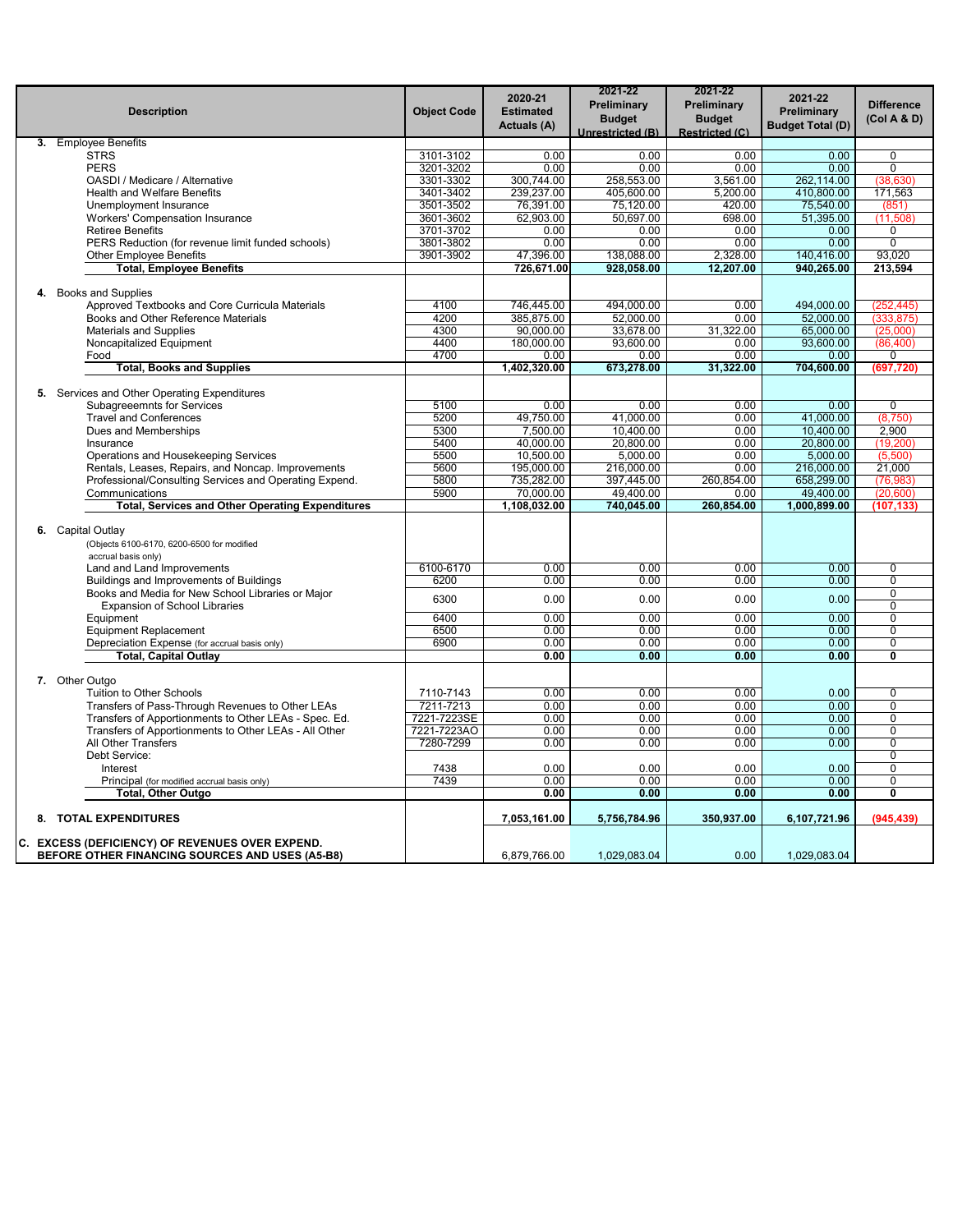| <b>Description</b>                                                                        | <b>Object Code</b> | 2020-21<br><b>Estimated</b><br>Actuals (A) | 2021-22<br>Preliminary<br><b>Budget</b><br>Unrestricted (B) | 2021-22<br>Preliminary<br><b>Budget</b><br><b>Restricted (C)</b> | 2021-22<br>Preliminary<br><b>Budget Total (D)</b> | <b>Difference</b><br>(Col A & D) |
|-------------------------------------------------------------------------------------------|--------------------|--------------------------------------------|-------------------------------------------------------------|------------------------------------------------------------------|---------------------------------------------------|----------------------------------|
| 3. Employee Benefits                                                                      |                    |                                            |                                                             |                                                                  |                                                   |                                  |
| <b>STRS</b>                                                                               | 3101-3102          | 0.00                                       | 0.00                                                        | 0.00                                                             | 0.00                                              | $\mathbf 0$                      |
| <b>PERS</b>                                                                               | 3201-3202          | 0.00                                       | 0.00                                                        | 0.00                                                             | 0.00                                              | $\overline{0}$                   |
| OASDI / Medicare / Alternative                                                            | 3301-3302          | 300.744.00                                 | 258,553.00                                                  | 3,561.00                                                         | 262,114.00                                        | (38, 630)                        |
| Health and Welfare Benefits                                                               | 3401-3402          | 239,237.00                                 | 405,600.00                                                  | 5,200.00                                                         | 410,800.00                                        | 171,563                          |
| Unemployment Insurance                                                                    | 3501-3502          | 76,391.00                                  | 75,120.00                                                   | 420.00                                                           | 75,540.00                                         | (851)                            |
| <b>Workers' Compensation Insurance</b>                                                    | 3601-3602          | 62,903.00                                  | 50,697.00                                                   | 698.00                                                           | 51,395.00                                         | (11,508)                         |
| <b>Retiree Benefits</b>                                                                   | 3701-3702          | 0.00                                       | 0.00                                                        | 0.00                                                             | 0.00                                              | $\overline{0}$                   |
| PERS Reduction (for revenue limit funded schools)                                         | 3801-3802          | 0.00                                       | 0.00                                                        | 0.00                                                             | 0.00                                              | $\mathbf 0$<br>93.020            |
| <b>Other Employee Benefits</b>                                                            | 3901-3902          | 47,396.00                                  | 138,088.00                                                  | 2,328.00                                                         | 140,416.00                                        |                                  |
| <b>Total, Employee Benefits</b>                                                           |                    | 726,671.00                                 | 928,058.00                                                  | 12,207.00                                                        | 940,265.00                                        | 213,594                          |
| 4. Books and Supplies                                                                     |                    |                                            |                                                             |                                                                  |                                                   |                                  |
| Approved Textbooks and Core Curricula Materials                                           | 4100               | 746,445.00                                 | 494.000.00                                                  | 0.00                                                             | 494,000.00                                        | (252, 445)                       |
| Books and Other Reference Materials                                                       | 4200               | 385,875.00                                 | 52,000.00                                                   | 0.00                                                             | 52,000.00                                         | (333, 875)                       |
| <b>Materials and Supplies</b>                                                             | 4300               | 90,000.00                                  | 33,678.00                                                   | 31,322.00                                                        | 65,000.00                                         | (25,000)                         |
| Noncapitalized Equipment                                                                  | 4400               | 180,000.00                                 | 93,600.00                                                   | 0.00                                                             | 93,600.00                                         | (86, 400)                        |
| Food                                                                                      | 4700               | 0.00                                       | 0.00                                                        | 0.00                                                             | 0.00                                              | $\Omega$                         |
| <b>Total, Books and Supplies</b>                                                          |                    | 1,402,320.00                               | 673,278.00                                                  | 31,322.00                                                        | 704,600.00                                        | (697, 720)                       |
| 5. Services and Other Operating Expenditures                                              |                    |                                            |                                                             |                                                                  |                                                   |                                  |
| <b>Subagreeemnts for Services</b>                                                         | 5100               | 0.00                                       | 0.00                                                        | 0.00                                                             | 0.00                                              | $\overline{0}$                   |
| <b>Travel and Conferences</b>                                                             | 5200               | 49,750.00                                  | 41.000.00                                                   | 0.00                                                             | 41,000.00                                         | (8,750)                          |
| Dues and Memberships                                                                      | 5300               | 7,500.00                                   | 10.400.00                                                   | 0.00                                                             | 10,400.00                                         | 2.900                            |
| Insurance                                                                                 | 5400               | 40.000.00                                  | 20.800.00                                                   | 0.00                                                             | 20.800.00                                         | (19, 200)                        |
| Operations and Housekeeping Services                                                      | 5500               | 10,500.00                                  | 5,000.00                                                    | 0.00                                                             | 5,000.00                                          | (5,500)                          |
| Rentals, Leases, Repairs, and Noncap. Improvements                                        | 5600               | 195,000.00                                 | 216,000.00                                                  | 0.00                                                             | 216,000.00                                        | 21,000                           |
| Professional/Consulting Services and Operating Expend.                                    | 5800               | 735,282.00                                 | 397,445.00                                                  | 260,854.00                                                       | 658,299.00                                        | (76, 983)                        |
| Communications                                                                            | 5900               | 70,000.00                                  | 49,400.00                                                   | 0.00                                                             | 49,400.00                                         | (20,600)                         |
| <b>Total, Services and Other Operating Expenditures</b>                                   |                    | 1,108,032.00                               | 740,045.00                                                  | 260,854.00                                                       | 1,000,899.00                                      | (107, 133)                       |
| 6. Capital Outlay<br>(Objects 6100-6170, 6200-6500 for modified<br>accrual basis only)    |                    |                                            |                                                             |                                                                  |                                                   |                                  |
| Land and Land Improvements                                                                | 6100-6170          | 0.00                                       | 0.00                                                        | 0.00                                                             | 0.00                                              | 0                                |
| Buildings and Improvements of Buildings                                                   | 6200               | 0.00                                       | 0.00                                                        | 0.00                                                             | 0.00                                              | $\Omega$                         |
| Books and Media for New School Libraries or Major<br><b>Expansion of School Libraries</b> | 6300               | 0.00                                       | 0.00                                                        | 0.00                                                             | 0.00                                              | $\mathbf 0$<br>$\Omega$          |
| Equipment                                                                                 | 6400               | 0.00                                       | 0.00                                                        | 0.00                                                             | 0.00                                              | $\Omega$                         |
| <b>Equipment Replacement</b>                                                              | 6500               | 0.00                                       | 0.00                                                        | 0.00                                                             | 0.00                                              | $\Omega$                         |
| Depreciation Expense (for accrual basis only)                                             | 6900               | 0.00                                       | 0.00                                                        | 0.00                                                             | 0.00                                              | $\mathbf 0$                      |
| <b>Total, Capital Outlay</b>                                                              |                    | 0.00                                       | 0.00                                                        | 0.00                                                             | 0.00                                              | $\overline{\mathfrak{o}}$        |
| 7. Other Outgo                                                                            |                    |                                            |                                                             |                                                                  |                                                   |                                  |
| Tuition to Other Schools                                                                  | 7110-7143          | 0.00                                       | 0.00                                                        | 0.00                                                             | 0.00                                              | $\mathbf 0$                      |
| Transfers of Pass-Through Revenues to Other LEAs                                          | 7211-7213          | 0.00                                       | 0.00                                                        | 0.00                                                             | 0.00                                              | $\Omega$                         |
| Transfers of Apportionments to Other LEAs - Spec. Ed.                                     | 7221-7223SE        | 0.00                                       | 0.00                                                        | 0.00                                                             | 0.00                                              | $\Omega$                         |
| Transfers of Apportionments to Other LEAs - All Other                                     | 7221-7223AO        | 0.00                                       | 0.00                                                        | 0.00                                                             | 0.00                                              | $\mathbf 0$                      |
| All Other Transfers                                                                       | 7280-7299          | 0.00                                       | 0.00                                                        | 0.00                                                             | 0.00                                              | 0                                |
| Debt Service:                                                                             |                    |                                            |                                                             |                                                                  |                                                   | $\overline{0}$                   |
| Interest                                                                                  | 7438               | 0.00                                       | 0.00                                                        | 0.00                                                             | 0.00                                              | $\Omega$                         |
| Principal (for modified accrual basis only)                                               | 7439               | 0.00                                       | 0.00                                                        | 0.00                                                             | 0.00                                              | 0                                |
| Total, Other Outgo                                                                        |                    | 0.00                                       | 0.00                                                        | 0.00                                                             | 0.00                                              | $\overline{\mathbf{0}}$          |
| 8. TOTAL EXPENDITURES                                                                     |                    | 7,053,161.00                               | 5,756,784.96                                                | 350,937.00                                                       | 6,107,721.96                                      | (945, 439)                       |
| C. EXCESS (DEFICIENCY) OF REVENUES OVER EXPEND.                                           |                    |                                            |                                                             |                                                                  |                                                   |                                  |
| BEFORE OTHER FINANCING SOURCES AND USES (A5-B8)                                           |                    | 6,879,766.00                               | 1,029,083.04                                                | 0.00                                                             | 1.029.083.04                                      |                                  |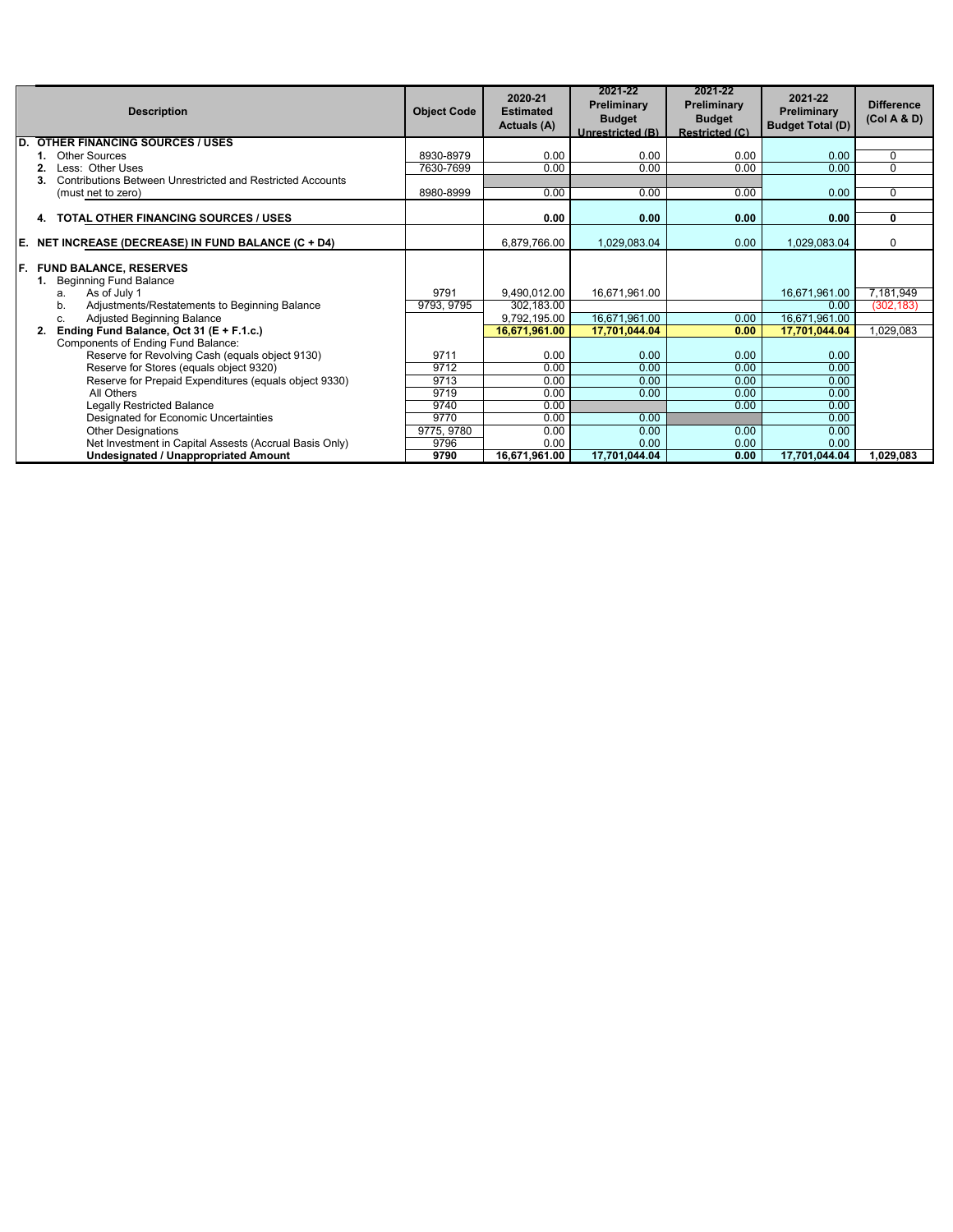|     | <b>Description</b>                                               | <b>Object Code</b> | 2020-21<br><b>Estimated</b><br>Actuals (A) | 2021-22<br>Preliminary<br><b>Budget</b><br>Unrestricted (B) | 2021-22<br><b>Preliminary</b><br><b>Budget</b><br><b>Restricted (C)</b> | 2021-22<br>Preliminary<br><b>Budget Total (D)</b> | <b>Difference</b><br>(Col A & D) |
|-----|------------------------------------------------------------------|--------------------|--------------------------------------------|-------------------------------------------------------------|-------------------------------------------------------------------------|---------------------------------------------------|----------------------------------|
| ID. | <b>OTHER FINANCING SOURCES / USES</b>                            |                    |                                            |                                                             |                                                                         |                                                   |                                  |
|     | <b>Other Sources</b>                                             | 8930-8979          | 0.00                                       | 0.00                                                        | 0.00                                                                    | 0.00                                              | $\mathbf 0$                      |
|     | Less: Other Uses                                                 | 7630-7699          | 0.00                                       | 0.00                                                        | 0.00                                                                    | 0.00                                              | $\Omega$                         |
|     | Contributions Between Unrestricted and Restricted Accounts<br>3. |                    |                                            |                                                             |                                                                         |                                                   |                                  |
|     | (must net to zero)                                               | 8980-8999          | 0.00                                       | 0.00                                                        | 0.00                                                                    | 0.00                                              | $\Omega$                         |
|     | <b>TOTAL OTHER FINANCING SOURCES / USES</b><br>4.                |                    | 0.00                                       | 0.00                                                        | 0.00                                                                    | 0.00                                              | 0                                |
|     |                                                                  |                    |                                            |                                                             |                                                                         |                                                   |                                  |
|     | E. NET INCREASE (DECREASE) IN FUND BALANCE (C + D4)              |                    | 6,879,766.00                               | 1.029.083.04                                                | 0.00                                                                    | 1,029,083.04                                      | $\Omega$                         |
|     | F. FUND BALANCE, RESERVES<br><b>Beginning Fund Balance</b><br>1. |                    |                                            |                                                             |                                                                         |                                                   |                                  |
|     | As of July 1<br>a.                                               | 9791               | 9.490.012.00                               | 16,671,961.00                                               |                                                                         | 16,671,961.00                                     | 7,181,949                        |
|     | Adjustments/Restatements to Beginning Balance<br>b.              | 9793, 9795         | 302,183.00                                 |                                                             |                                                                         | 0.00                                              | (302, 183)                       |
|     | Adjusted Beginning Balance<br>c.                                 |                    | 9,792,195.00                               | 16,671,961.00                                               | 0.00                                                                    | 16,671,961.00                                     |                                  |
|     | Ending Fund Balance, Oct 31 (E + F.1.c.)                         |                    | 16,671,961.00                              | 17.701.044.04                                               | 0.00                                                                    | 17,701,044.04                                     | 1,029,083                        |
|     | Components of Ending Fund Balance:                               |                    |                                            |                                                             |                                                                         |                                                   |                                  |
|     | Reserve for Revolving Cash (equals object 9130)                  | 9711               | 0.00                                       | 0.00                                                        | 0.00                                                                    | 0.00                                              |                                  |
|     | Reserve for Stores (equals object 9320)                          | 9712               | 0.00                                       | 0.00                                                        | 0.00                                                                    | 0.00                                              |                                  |
|     | Reserve for Prepaid Expenditures (equals object 9330)            | 9713               | 0.00                                       | 0.00                                                        | 0.00                                                                    | 0.00                                              |                                  |
|     | All Others                                                       | 9719               | 0.00                                       | 0.00                                                        | 0.00                                                                    | 0.00                                              |                                  |
|     | <b>Legally Restricted Balance</b>                                | 9740               | 0.00                                       |                                                             | 0.00                                                                    | 0.00                                              |                                  |
|     | Designated for Economic Uncertainties                            | 9770               | 0.00                                       | 0.00                                                        |                                                                         | 0.00                                              |                                  |
|     | <b>Other Designations</b>                                        | 9775, 9780         | 0.00                                       | 0.00                                                        | 0.00                                                                    | 0.00                                              |                                  |
|     | Net Investment in Capital Assests (Accrual Basis Only)           | 9796               | 0.00                                       | 0.00                                                        | 0.00                                                                    | 0.00                                              |                                  |
|     | <b>Undesignated / Unappropriated Amount</b>                      | 9790               | 16,671,961.00                              | 17,701,044.04                                               | 0.00                                                                    | 17,701,044.04                                     | 1.029.083                        |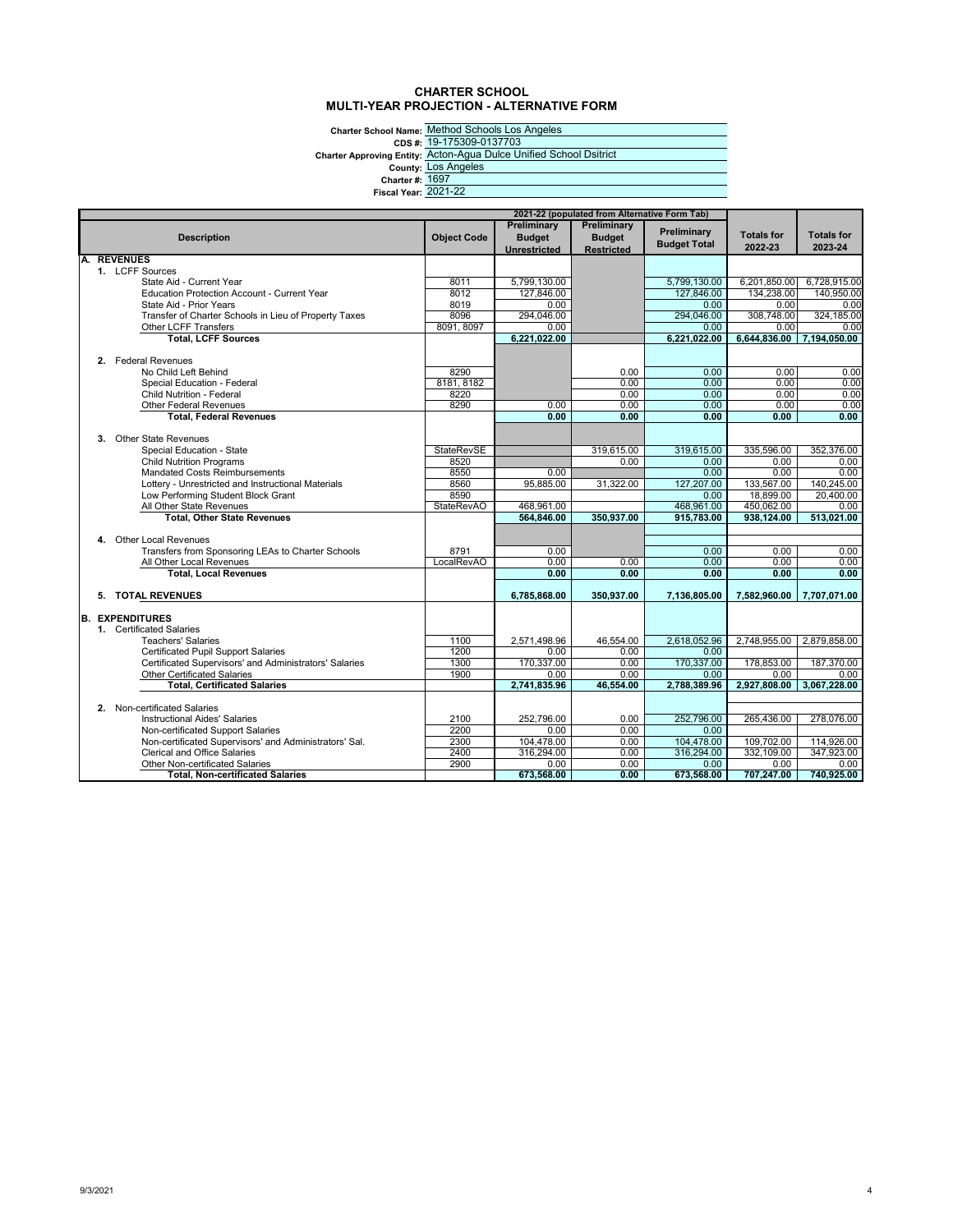## **CHARTER SCHOOL MULTI-YEAR PROJECTION - ALTERNATIVE FORM**

**Charter School Name: CDS #: Charter Approving Entity: County: Charter #: Fiscal Year:** 2021-22

Method Schools Los Angeles 19-175309-0137703 Acton-Agua Dulce Unified School Dsitrict Los Angeles 1697

|    |                                                                                   |                    |                              | 2021-22 (populated from Alternative Form Tab) |                     |                    |                    |
|----|-----------------------------------------------------------------------------------|--------------------|------------------------------|-----------------------------------------------|---------------------|--------------------|--------------------|
|    | <b>Description</b>                                                                | <b>Object Code</b> | Preliminary<br><b>Budget</b> | Preliminary<br><b>Budget</b>                  | Preliminary         | <b>Totals for</b>  | <b>Totals for</b>  |
|    |                                                                                   |                    | <b>Unrestricted</b>          | <b>Restricted</b>                             | <b>Budget Total</b> | 2022-23            | 2023-24            |
| A. | <b>REVENUES</b>                                                                   |                    |                              |                                               |                     |                    |                    |
|    | 1. LCFF Sources                                                                   |                    |                              |                                               |                     |                    |                    |
|    | State Aid - Current Year                                                          | 8011               | 5.799.130.00                 |                                               | 5.799.130.00        | 6,201,850.00       | 6.728.915.00       |
|    | <b>Education Protection Account - Current Year</b>                                | 8012               | 127,846.00                   |                                               | 127,846.00          | 134,238.00         | 140,950.00         |
|    | State Aid - Prior Years                                                           | 8019               | 0.00                         |                                               | 0.00                | 0.00               | 0.00               |
|    | Transfer of Charter Schools in Lieu of Property Taxes                             | 8096               | 294.046.00                   |                                               | 294.046.00          | 308.748.00         | 324.185.00         |
|    | Other LCFF Transfers                                                              | 8091, 8097         | 0.00                         |                                               | 0.00                | 0.00               | 0.00               |
|    | <b>Total, LCFF Sources</b>                                                        |                    | 6,221,022.00                 |                                               | 6,221,022.00        | 6,644,836.00       | 7,194,050.00       |
|    |                                                                                   |                    |                              |                                               |                     |                    |                    |
|    | 2. Federal Revenues                                                               |                    |                              |                                               |                     |                    |                    |
|    | No Child Left Behind                                                              | 8290               |                              | 0.00                                          | 0.00                | 0.00<br>0.00       | 0.00               |
|    | Special Education - Federal<br><b>Child Nutrition - Federal</b>                   | 8181, 8182<br>8220 |                              | 0.00<br>0.00                                  | 0.00<br>0.00        | 0.00               | 0.00<br>0.00       |
|    | <b>Other Federal Revenues</b>                                                     | 8290               | 0.00                         | 0.00                                          | 0.00                | 0.00               | 0.00               |
|    | <b>Total, Federal Revenues</b>                                                    |                    | 0.00                         | 0.00                                          | 0.00                | 0.00               | 0.00               |
|    |                                                                                   |                    |                              |                                               |                     |                    |                    |
|    | 3. Other State Revenues                                                           |                    |                              |                                               |                     |                    |                    |
|    | Special Education - State                                                         | <b>StateRevSE</b>  |                              | 319,615.00                                    | 319,615.00          | 335,596.00         | 352,376.00         |
|    | <b>Child Nutrition Programs</b>                                                   | 8520               |                              | 0.00                                          | 0.00                | 0.00               | 0.00               |
|    | <b>Mandated Costs Reimbursements</b>                                              | 8550               | 0.00                         |                                               | 0.00                | 0.00               | 0.00               |
|    | Lottery - Unrestricted and Instructional Materials                                | 8560               | 95,885.00                    | 31,322.00                                     | 127,207.00          | 133,567.00         | 140,245.00         |
|    | Low Performing Student Block Grant                                                | 8590               |                              |                                               | 0.00                | 18,899.00          | 20.400.00          |
|    | All Other State Revenues                                                          | <b>StateRevAO</b>  | 468,961.00                   |                                               | 468,961.00          | 450,062.00         | 0.00               |
|    | <b>Total, Other State Revenues</b>                                                |                    | 564,846.00                   | 350,937.00                                    | 915,783.00          | 938,124.00         | 513,021.00         |
|    |                                                                                   |                    |                              |                                               |                     |                    |                    |
|    | 4. Other Local Revenues                                                           |                    |                              |                                               |                     |                    |                    |
|    | Transfers from Sponsoring LEAs to Charter Schools                                 | 8791               | 0.00                         |                                               | 0.00                | 0.00               | 0.00               |
|    | All Other Local Revenues                                                          | <b>LocalRevAO</b>  | 0.00                         | 0.00                                          | 0.00                | 0.00               | 0.00               |
|    | <b>Total, Local Revenues</b>                                                      |                    | 0.00                         | 0.00                                          | 0.00                | 0.00               | 0.00               |
|    | 5. TOTAL REVENUES                                                                 |                    | 6.785.868.00                 | 350,937.00                                    | 7,136,805.00        | 7,582,960.00       | 7,707,071.00       |
|    |                                                                                   |                    |                              |                                               |                     |                    |                    |
| B. | <b>EXPENDITURES</b>                                                               |                    |                              |                                               |                     |                    |                    |
|    | 1. Certificated Salaries                                                          |                    |                              |                                               |                     |                    |                    |
|    | <b>Teachers' Salaries</b>                                                         | 1100               | 2,571,498.96                 | 46,554.00                                     | 2.618.052.96        | 2,748,955.00       | 2,879,858.00       |
|    | <b>Certificated Pupil Support Salaries</b>                                        | 1200               | 0.00                         | 0.00                                          | 0.00                |                    |                    |
|    | Certificated Supervisors' and Administrators' Salaries                            | 1300               | 170,337.00                   | 0.00                                          | 170,337.00          | 178,853.00         | 187,370.00         |
|    | <b>Other Certificated Salaries</b>                                                | 1900               | 0.00                         | 0.00                                          | 0.00                | 0.00               | 0.00               |
|    | <b>Total, Certificated Salaries</b>                                               |                    | 2.741.835.96                 | 46,554.00                                     | 2,788,389.96        | 2,927,808.00       | 3,067,228.00       |
|    |                                                                                   |                    |                              |                                               |                     |                    |                    |
|    | 2. Non-certificated Salaries                                                      |                    |                              |                                               |                     |                    |                    |
|    | <b>Instructional Aides' Salaries</b>                                              | 2100               | 252.796.00                   | 0.00                                          | 252.796.00          | 265,436.00         | 278,076.00         |
|    | Non-certificated Support Salaries                                                 | 2200               | 0.00                         | 0.00                                          | 0.00                |                    |                    |
|    | Non-certificated Supervisors' and Administrators' Sal.                            | 2300               | 104,478.00                   | 0.00                                          | 104,478.00          | 109,702.00         | 114,926.00         |
|    | Clerical and Office Salaries                                                      | 2400               | 316,294.00                   | 0.00                                          | 316,294.00          | 332,109.00         | 347,923.00         |
|    | <b>Other Non-certificated Salaries</b><br><b>Total. Non-certificated Salaries</b> | 2900               | 0.00<br>673,568.00           | 0.00<br>0.00                                  | 0.00<br>673,568.00  | 0.00<br>707,247.00 | 0.00<br>740,925.00 |
|    |                                                                                   |                    |                              |                                               |                     |                    |                    |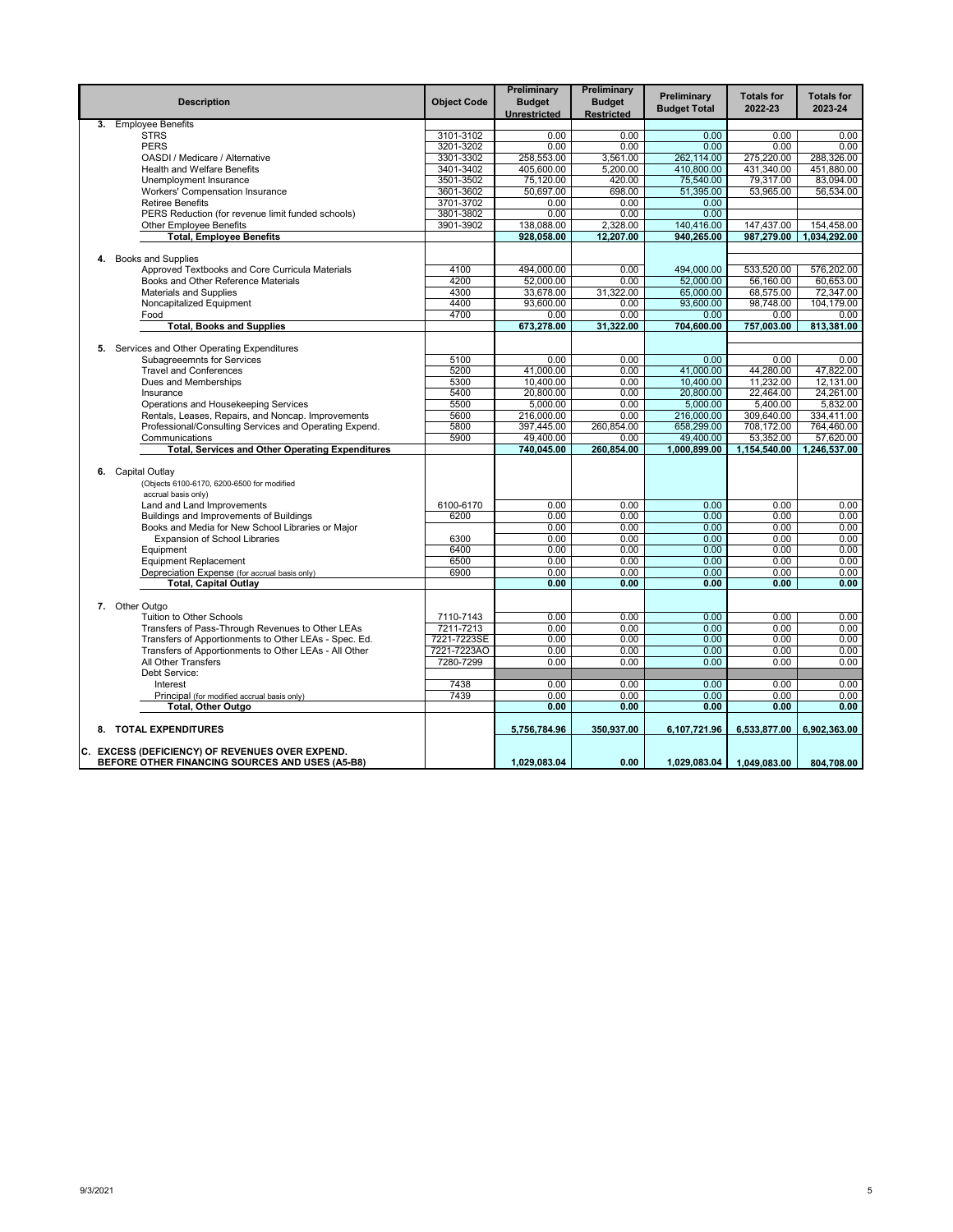|    | <b>Description</b>                                                                  | <b>Object Code</b>     | Preliminary<br><b>Budget</b><br>Unrestricted | Preliminary<br><b>Budget</b><br><b>Restricted</b> | Preliminary<br><b>Budget Total</b> | <b>Totals for</b><br>2022-23 | <b>Totals for</b><br>2023-24 |
|----|-------------------------------------------------------------------------------------|------------------------|----------------------------------------------|---------------------------------------------------|------------------------------------|------------------------------|------------------------------|
| 3. | <b>Employee Benefits</b>                                                            |                        |                                              |                                                   |                                    |                              |                              |
|    | <b>STRS</b>                                                                         | 3101-3102              | 0.00                                         | 0.00                                              | 0.00                               | 0.00                         | 0.00                         |
|    | <b>PERS</b>                                                                         | 3201-3202              | 0.00                                         | 0.00                                              | 0.00                               | 0.00                         | 0.00                         |
|    | OASDI / Medicare / Alternative                                                      | 3301-3302              | 258,553.00                                   | 3,561.00                                          | 262,114.00                         | 275,220.00                   | 288,326.00                   |
|    | <b>Health and Welfare Benefits</b>                                                  | 3401-3402              | 405,600.00                                   | 5,200.00                                          | 410.800.00                         | 431.340.00                   | 451.880.00                   |
|    | Unemployment Insurance                                                              | 3501-3502              | 75,120.00                                    | 420.00                                            | 75,540.00                          | 79,317.00                    | 83,094.00                    |
|    | Workers' Compensation Insurance                                                     | 3601-3602              | 50,697.00                                    | 698.00                                            | 51,395.00                          | 53,965.00                    | 56,534.00                    |
|    | <b>Retiree Benefits</b>                                                             | 3701-3702              | 0.00                                         | 0.00<br>0.00                                      | 0.00<br>0.00                       |                              |                              |
|    | PERS Reduction (for revenue limit funded schools)<br><b>Other Employee Benefits</b> | 3801-3802<br>3901-3902 | 0.00<br>138,088.00                           | 2,328.00                                          | 140.416.00                         | 147,437.00                   | 154,458.00                   |
|    | <b>Total, Employee Benefits</b>                                                     |                        | 928,058.00                                   | 12,207.00                                         | 940,265.00                         | 987,279.00                   | 1,034,292.00                 |
|    |                                                                                     |                        |                                              |                                                   |                                    |                              |                              |
| 4. | <b>Books and Supplies</b>                                                           |                        |                                              |                                                   |                                    |                              |                              |
|    | Approved Textbooks and Core Curricula Materials                                     | 4100                   | 494.000.00                                   | 0.00                                              | 494.000.00                         | 533,520.00                   | 576,202.00                   |
|    | Books and Other Reference Materials                                                 | 4200                   | 52,000.00                                    | 0.00                                              | 52,000.00                          | 56,160.00                    | 60,653.00                    |
|    | <b>Materials and Supplies</b>                                                       | 4300                   | 33,678.00                                    | 31,322.00                                         | 65,000.00                          | 68,575.00                    | 72,347.00                    |
|    | Noncapitalized Equipment                                                            | 4400                   | 93,600.00                                    | 0.00                                              | 93,600.00                          | 98,748.00                    | 104.179.00                   |
|    | Food                                                                                | 4700                   | 0.00                                         | 0.00                                              | 0.00                               | 0.00                         | 0.00                         |
|    | <b>Total, Books and Supplies</b>                                                    |                        | 673,278.00                                   | 31,322.00                                         | 704,600.00                         | 757,003.00                   | 813,381.00                   |
|    |                                                                                     |                        |                                              |                                                   |                                    |                              |                              |
|    | 5. Services and Other Operating Expenditures                                        |                        |                                              |                                                   |                                    |                              |                              |
|    | <b>Subagreeemnts for Services</b>                                                   | 5100                   | 0.00                                         | 0.00                                              | 0.00                               | 0.00                         | 0.00                         |
|    | <b>Travel and Conferences</b>                                                       | 5200                   | 41,000.00                                    | 0.00                                              | 41,000.00                          | 44,280.00                    | 47,822.00                    |
|    | Dues and Memberships                                                                | 5300                   | 10.400.00                                    | 0.00                                              | 10.400.00                          | 11,232.00                    | 12.131.00                    |
|    | Insurance                                                                           | 5400                   | 20,800.00                                    | 0.00                                              | 20,800.00                          | 22,464.00                    | 24,261.00                    |
|    | Operations and Housekeeping Services                                                | 5500                   | 5,000.00                                     | 0.00                                              | 5,000.00                           | 5,400.00                     | 5,832.00                     |
|    | Rentals, Leases, Repairs, and Noncap. Improvements                                  | 5600                   | 216,000.00                                   | 0.00                                              | 216,000.00                         | 309,640.00                   | 334,411.00                   |
|    | Professional/Consulting Services and Operating Expend.                              | 5800                   | 397.445.00                                   | 260.854.00                                        | 658,299.00                         | 708,172.00                   | 764.460.00                   |
|    | Communications                                                                      | 5900                   | 49,400.00                                    | 0.00                                              | 49.400.00                          | 53,352.00                    | 57.620.00                    |
|    | <b>Total, Services and Other Operating Expenditures</b>                             |                        | 740,045.00                                   | 260,854.00                                        | 1,000,899.00                       | 1,154,540.00                 | 1,246,537.00                 |
|    | 6. Capital Outlay                                                                   |                        |                                              |                                                   |                                    |                              |                              |
|    | (Objects 6100-6170, 6200-6500 for modified                                          |                        |                                              |                                                   |                                    |                              |                              |
|    | accrual basis only)                                                                 |                        |                                              |                                                   |                                    |                              |                              |
|    | Land and Land Improvements                                                          | 6100-6170              | 0.00                                         | 0.00                                              | 0.00                               | 0.00                         | 0.00                         |
|    | Buildings and Improvements of Buildings                                             | 6200                   | 0.00                                         | 0.00                                              | 0.00                               | 0.00                         | 0.00                         |
|    | Books and Media for New School Libraries or Major                                   |                        | 0.00                                         | 0.00                                              | 0.00                               | 0.00                         | 0.00                         |
|    | <b>Expansion of School Libraries</b>                                                | 6300                   | 0.00                                         | 0.00                                              | 0.00                               | 0.00                         | 0.00                         |
|    | Equipment                                                                           | 6400                   | 0.00                                         | 0.00                                              | 0.00                               | 0.00                         | 0.00                         |
|    | <b>Equipment Replacement</b>                                                        | 6500                   | 0.00                                         | 0.00                                              | 0.00                               | 0.00                         | 0.00                         |
|    | Depreciation Expense (for accrual basis only)                                       | 6900                   | 0.00                                         | 0.00                                              | 0.00                               | 0.00                         | 0.00                         |
|    | <b>Total, Capital Outlay</b>                                                        |                        | 0.00                                         | 0.00                                              | 0.00                               | 0.00                         | 0.00                         |
|    |                                                                                     |                        |                                              |                                                   |                                    |                              |                              |
|    | 7. Other Outgo                                                                      |                        |                                              |                                                   |                                    |                              |                              |
|    | <b>Tuition to Other Schools</b>                                                     | 7110-7143              | 0.00                                         | 0.00                                              | 0.00                               | 0.00                         | 0.00                         |
|    | Transfers of Pass-Through Revenues to Other LEAs                                    | 7211-7213              | 0.00                                         | 0.00                                              | 0.00                               | 0.00                         | 0.00                         |
|    | Transfers of Apportionments to Other LEAs - Spec. Ed.                               | 7221-7223SE            | 0.00                                         | 0.00                                              | 0.00                               | 0.00                         | 0.00                         |
|    | Transfers of Apportionments to Other LEAs - All Other                               | 7221-7223AO            | 0.00                                         | 0.00                                              | 0.00                               | 0.00                         | 0.00                         |
|    | All Other Transfers                                                                 | 7280-7299              | 0.00                                         | 0.00                                              | 0.00                               | 0.00                         | 0.00                         |
|    | Debt Service:                                                                       |                        |                                              |                                                   |                                    |                              |                              |
|    | Interest                                                                            | 7438                   | 0.00                                         | 0.00                                              | 0.00                               | 0.00                         | 0.00                         |
|    | Principal (for modified accrual basis only)                                         | 7439                   | 0.00                                         | 0.00                                              | 0.00                               | 0.00                         | 0.00                         |
|    | Total, Other Outgo                                                                  |                        | 0.00                                         | 0.00                                              | 0.00                               | 0.00                         | 0.00                         |
|    | 8. TOTAL EXPENDITURES                                                               |                        | 5,756,784.96                                 | 350,937.00                                        | 6,107,721.96                       | 6,533,877.00                 | 6,902,363.00                 |
|    | C. EXCESS (DEFICIENCY) OF REVENUES OVER EXPEND.                                     |                        |                                              |                                                   |                                    |                              |                              |
|    | BEFORE OTHER FINANCING SOURCES AND USES (A5-B8)                                     |                        | 1,029,083.04                                 | 0.00                                              | 1,029,083.04                       | 1,049,083.00                 | 804,708.00                   |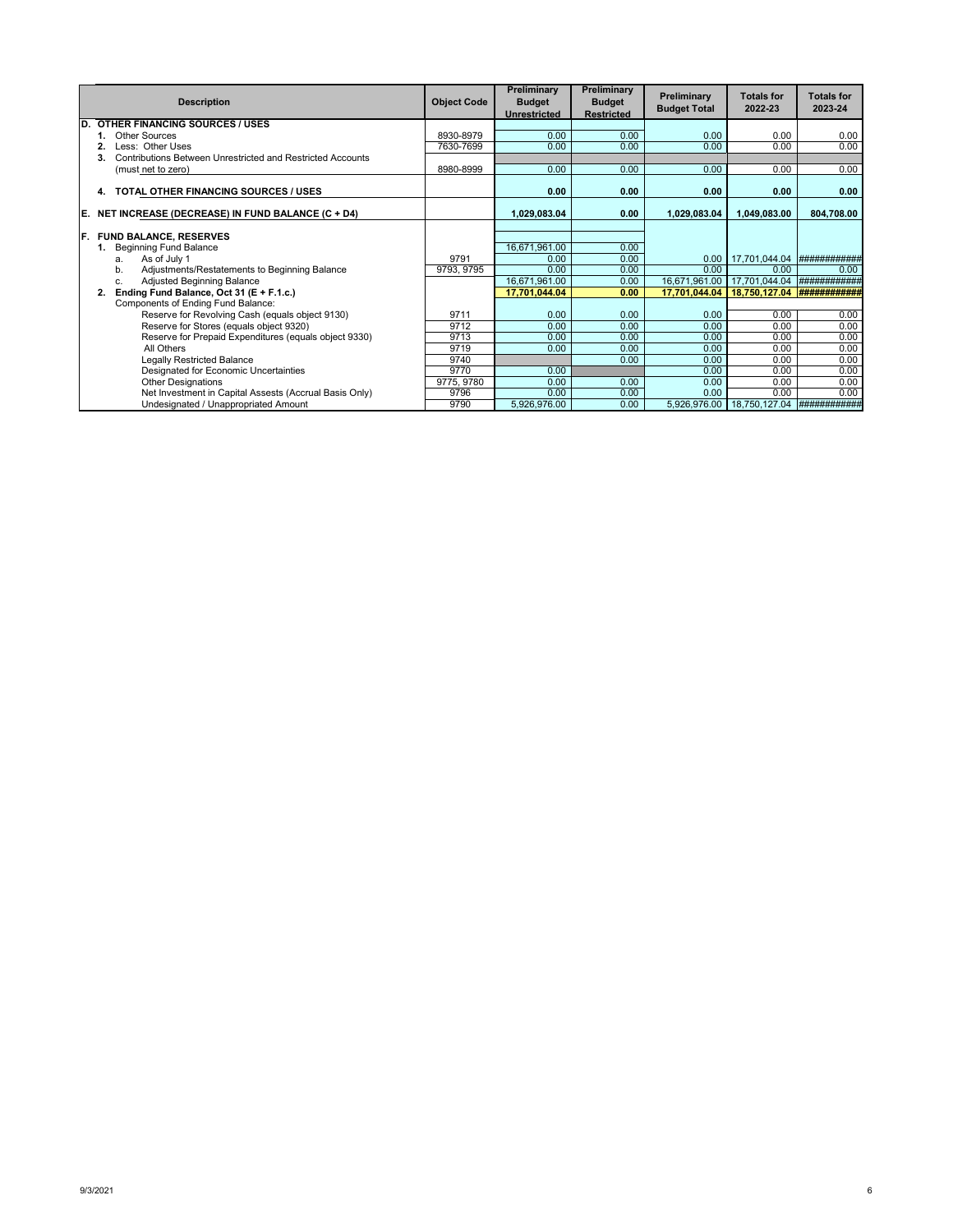|     | <b>Description</b>                                               | <b>Object Code</b> | Preliminary<br><b>Budget</b><br><b>Unrestricted</b> | Preliminary<br><b>Budget</b><br><b>Restricted</b> | Preliminary<br><b>Budget Total</b> | <b>Totals for</b><br>2022-23 | <b>Totals for</b><br>2023-24 |
|-----|------------------------------------------------------------------|--------------------|-----------------------------------------------------|---------------------------------------------------|------------------------------------|------------------------------|------------------------------|
| D.  | <b>OTHER FINANCING SOURCES / USES</b>                            |                    |                                                     |                                                   |                                    |                              |                              |
|     | Other Sources                                                    | 8930-8979          | 0.00                                                | 0.00                                              | 0.00                               | 0.00                         | 0.00                         |
|     | Less: Other Uses                                                 | 7630-7699          | 0.00                                                | 0.00                                              | 0.00                               | 0.00                         | 0.00                         |
|     | Contributions Between Unrestricted and Restricted Accounts<br>3. |                    |                                                     |                                                   |                                    |                              |                              |
|     | (must net to zero)                                               | 8980-8999          | 0.00                                                | 0.00                                              | 0.00                               | 0.00                         | 0.00                         |
|     | TOTAL OTHER FINANCING SOURCES / USES<br>4.                       |                    | 0.00                                                | 0.00                                              | 0.00                               | 0.00                         | 0.00                         |
| IE. | NET INCREASE (DECREASE) IN FUND BALANCE (C + D4)                 |                    | 1,029,083.04                                        | 0.00                                              | 1,029,083.04                       | 1,049,083.00                 | 804,708.00                   |
| IF. | <b>FUND BALANCE, RESERVES</b>                                    |                    |                                                     |                                                   |                                    |                              |                              |
|     | <b>Beginning Fund Balance</b>                                    |                    | 16,671,961.00                                       | 0.00                                              |                                    |                              |                              |
|     | As of July 1<br>a.                                               | 9791               | 0.00                                                | 0.00                                              | 0.00                               | 17,701,044.04                | ###########                  |
|     | Adjustments/Restatements to Beginning Balance<br>b.              | 9793, 9795         | 0.00                                                | 0.00                                              | 0.00                               | 0.00                         | 0.00                         |
|     | Adjusted Beginning Balance<br>C.                                 |                    | 16,671,961.00                                       | 0.00                                              | 16,671,961.00                      | 17,701,044.04                | ###########                  |
|     | Ending Fund Balance, Oct 31 (E + F.1.c.)<br>2.                   |                    | 17.701.044.04                                       | 0.00                                              | 17.701.044.04                      | 18.750.127.04                |                              |
|     | Components of Ending Fund Balance:                               |                    |                                                     |                                                   |                                    |                              |                              |
|     | Reserve for Revolving Cash (equals object 9130)                  | 9711               | 0.00                                                | 0.00                                              | 0.00                               | 0.00                         | 0.00                         |
|     | Reserve for Stores (equals object 9320)                          | 9712               | 0.00                                                | 0.00                                              | 0.00                               | 0.00                         | 0.00                         |
|     | Reserve for Prepaid Expenditures (equals object 9330)            | 9713               | 0.00                                                | 0.00                                              | 0.00                               | 0.00                         | 0.00                         |
|     | All Others                                                       | 9719               | 0.00                                                | 0.00                                              | 0.00                               | 0.00                         | 0.00                         |
|     | Legally Restricted Balance                                       | 9740               |                                                     | 0.00                                              | 0.00                               | 0.00                         | 0.00                         |
|     | Designated for Economic Uncertainties                            | 9770               | 0.00                                                |                                                   | 0.00                               | 0.00                         | 0.00                         |
|     | <b>Other Designations</b>                                        | 9775, 9780         | 0.00                                                | 0.00                                              | 0.00                               | 0.00                         | 0.00                         |
|     | Net Investment in Capital Assests (Accrual Basis Only)           | 9796               | 0.00                                                | 0.00                                              | 0.00                               | 0.00                         | 0.00                         |
|     | Undesignated / Unappropriated Amount                             | 9790               | 5,926,976.00                                        | 0.00                                              | 5,926,976.00                       | 18,750,127.04                | <b>############</b> #        |